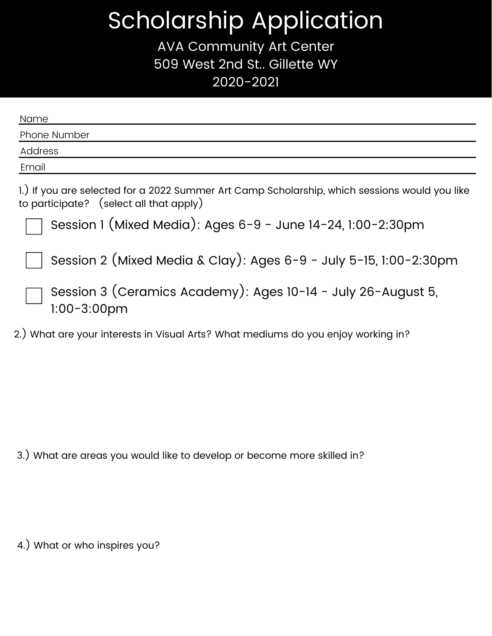## Scholarship Application

AVA Community Art Center 509 West 2nd St.. Gillette WY 2020-2021

| Name                                                                                                                                     |
|------------------------------------------------------------------------------------------------------------------------------------------|
| Phone Number                                                                                                                             |
| Address                                                                                                                                  |
| Email                                                                                                                                    |
| 1.) If you are selected for a 2022 Summer Art Camp Scholarship, which sessions would you like<br>to participate? (select all that apply) |
| Session 1 (Mixed Media): Ages 6-9 - June 14-24, 1:00-2:30pm                                                                              |
| Session 2 (Mixed Media & Clay): Ages 6-9 - July 5-15, 1:00-2:30pm                                                                        |
| Session 3 (Ceramics Academy): Ages 10-14 - July 26-August 5,<br>$1:00-3:00$ pm                                                           |
| 2.) What are your interests in Visual Arts? What mediums do you enjoy working in?                                                        |

3.) What are areas you would like to develop or become more skilled in?

4.) What or who inspires you?